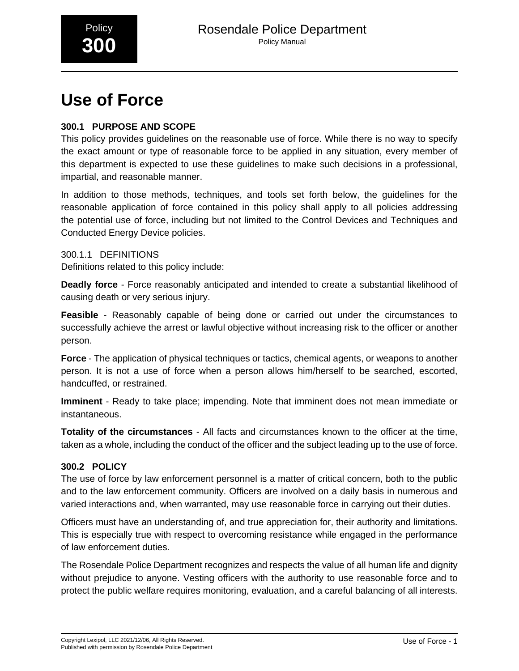# **Use of Force**

# **300.1 PURPOSE AND SCOPE**

This policy provides guidelines on the reasonable use of force. While there is no way to specify the exact amount or type of reasonable force to be applied in any situation, every member of this department is expected to use these guidelines to make such decisions in a professional, impartial, and reasonable manner.

In addition to those methods, techniques, and tools set forth below, the guidelines for the reasonable application of force contained in this policy shall apply to all policies addressing the potential use of force, including but not limited to the Control Devices and Techniques and Conducted Energy Device policies.

300.1.1 DEFINITIONS Definitions related to this policy include:

**Deadly force** - Force reasonably anticipated and intended to create a substantial likelihood of causing death or very serious injury.

**Feasible** - Reasonably capable of being done or carried out under the circumstances to successfully achieve the arrest or lawful objective without increasing risk to the officer or another person.

**Force** - The application of physical techniques or tactics, chemical agents, or weapons to another person. It is not a use of force when a person allows him/herself to be searched, escorted, handcuffed, or restrained.

**Imminent** - Ready to take place; impending. Note that imminent does not mean immediate or instantaneous.

**Totality of the circumstances** - All facts and circumstances known to the officer at the time, taken as a whole, including the conduct of the officer and the subject leading up to the use of force.

# **300.2 POLICY**

The use of force by law enforcement personnel is a matter of critical concern, both to the public and to the law enforcement community. Officers are involved on a daily basis in numerous and varied interactions and, when warranted, may use reasonable force in carrying out their duties.

Officers must have an understanding of, and true appreciation for, their authority and limitations. This is especially true with respect to overcoming resistance while engaged in the performance of law enforcement duties.

The Rosendale Police Department recognizes and respects the value of all human life and dignity without prejudice to anyone. Vesting officers with the authority to use reasonable force and to protect the public welfare requires monitoring, evaluation, and a careful balancing of all interests.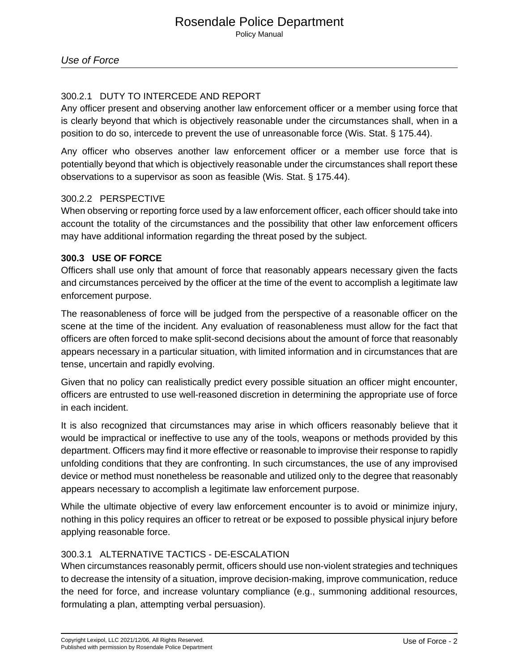# 300.2.1 DUTY TO INTERCEDE AND REPORT

Any officer present and observing another law enforcement officer or a member using force that is clearly beyond that which is objectively reasonable under the circumstances shall, when in a position to do so, intercede to prevent the use of unreasonable force (Wis. Stat. § 175.44).

Any officer who observes another law enforcement officer or a member use force that is potentially beyond that which is objectively reasonable under the circumstances shall report these observations to a supervisor as soon as feasible (Wis. Stat. § 175.44).

## 300.2.2 PERSPECTIVE

When observing or reporting force used by a law enforcement officer, each officer should take into account the totality of the circumstances and the possibility that other law enforcement officers may have additional information regarding the threat posed by the subject.

## **300.3 USE OF FORCE**

Officers shall use only that amount of force that reasonably appears necessary given the facts and circumstances perceived by the officer at the time of the event to accomplish a legitimate law enforcement purpose.

The reasonableness of force will be judged from the perspective of a reasonable officer on the scene at the time of the incident. Any evaluation of reasonableness must allow for the fact that officers are often forced to make split-second decisions about the amount of force that reasonably appears necessary in a particular situation, with limited information and in circumstances that are tense, uncertain and rapidly evolving.

Given that no policy can realistically predict every possible situation an officer might encounter, officers are entrusted to use well-reasoned discretion in determining the appropriate use of force in each incident.

It is also recognized that circumstances may arise in which officers reasonably believe that it would be impractical or ineffective to use any of the tools, weapons or methods provided by this department. Officers may find it more effective or reasonable to improvise their response to rapidly unfolding conditions that they are confronting. In such circumstances, the use of any improvised device or method must nonetheless be reasonable and utilized only to the degree that reasonably appears necessary to accomplish a legitimate law enforcement purpose.

While the ultimate objective of every law enforcement encounter is to avoid or minimize injury, nothing in this policy requires an officer to retreat or be exposed to possible physical injury before applying reasonable force.

# 300.3.1 ALTERNATIVE TACTICS - DE-ESCALATION

When circumstances reasonably permit, officers should use non-violent strategies and techniques to decrease the intensity of a situation, improve decision-making, improve communication, reduce the need for force, and increase voluntary compliance (e.g., summoning additional resources, formulating a plan, attempting verbal persuasion).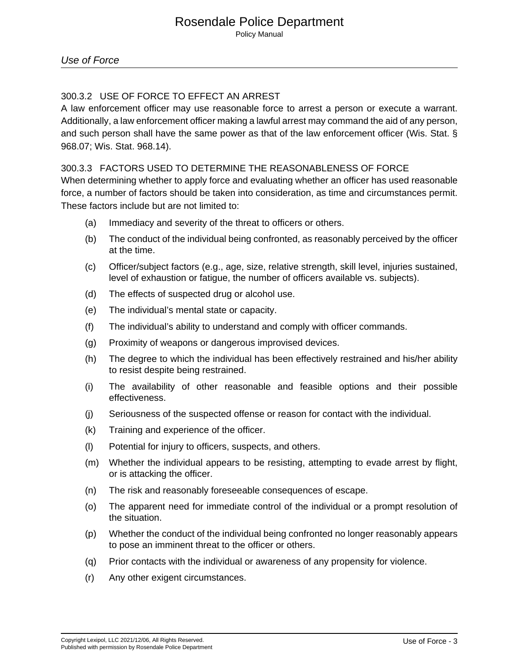# 300.3.2 USE OF FORCE TO EFFECT AN ARREST

A law enforcement officer may use reasonable force to arrest a person or execute a warrant. Additionally, a law enforcement officer making a lawful arrest may command the aid of any person, and such person shall have the same power as that of the law enforcement officer (Wis. Stat. § 968.07; Wis. Stat. 968.14).\_

#### 300.3.3 FACTORS USED TO DETERMINE THE REASONABLENESS OF FORCE

When determining whether to apply force and evaluating whether an officer has used reasonable force, a number of factors should be taken into consideration, as time and circumstances permit. These factors include but are not limited to:

- (a) Immediacy and severity of the threat to officers or others.
- (b) The conduct of the individual being confronted, as reasonably perceived by the officer at the time.
- (c) Officer/subject factors (e.g., age, size, relative strength, skill level, injuries sustained, level of exhaustion or fatigue, the number of officers available vs. subjects).
- (d) The effects of suspected drug or alcohol use.
- (e) The individual's mental state or capacity.
- (f) The individual's ability to understand and comply with officer commands.
- (g) Proximity of weapons or dangerous improvised devices.
- (h) The degree to which the individual has been effectively restrained and his/her ability to resist despite being restrained.
- (i) The availability of other reasonable and feasible options and their possible effectiveness.
- (j) Seriousness of the suspected offense or reason for contact with the individual.
- (k) Training and experience of the officer.
- (l) Potential for injury to officers, suspects, and others.
- (m) Whether the individual appears to be resisting, attempting to evade arrest by flight, or is attacking the officer.
- (n) The risk and reasonably foreseeable consequences of escape.
- (o) The apparent need for immediate control of the individual or a prompt resolution of the situation.
- (p) Whether the conduct of the individual being confronted no longer reasonably appears to pose an imminent threat to the officer or others.
- (q) Prior contacts with the individual or awareness of any propensity for violence.
- (r) Any other exigent circumstances.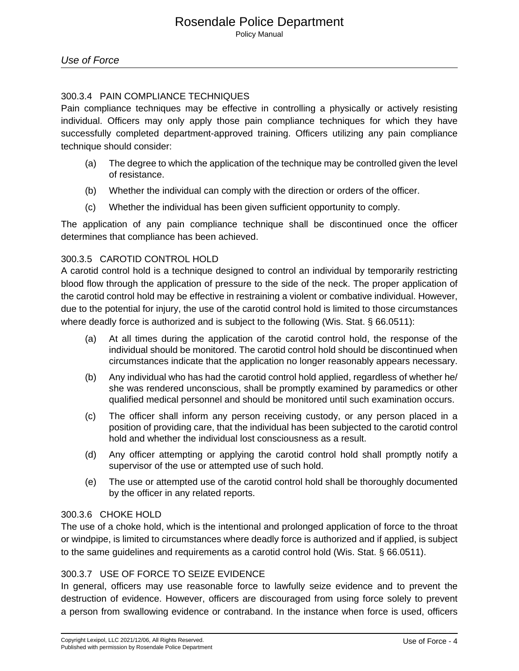## 300.3.4 PAIN COMPLIANCE TECHNIQUES

Pain compliance techniques may be effective in controlling a physically or actively resisting individual. Officers may only apply those pain compliance techniques for which they have successfully completed department-approved training. Officers utilizing any pain compliance technique should consider:

- (a) The degree to which the application of the technique may be controlled given the level of resistance.
- (b) Whether the individual can comply with the direction or orders of the officer.
- (c) Whether the individual has been given sufficient opportunity to comply.

The application of any pain compliance technique shall be discontinued once the officer determines that compliance has been achieved.

#### 300.3.5 CAROTID CONTROL HOLD

A carotid control hold is a technique designed to control an individual by temporarily restricting blood flow through the application of pressure to the side of the neck. The proper application of the carotid control hold may be effective in restraining a violent or combative individual. However, due to the potential for injury, the use of the carotid control hold is limited to those circumstances where deadly force is authorized and is subject to the following (Wis. Stat. § 66.0511):

- (a) At all times during the application of the carotid control hold, the response of the individual should be monitored. The carotid control hold should be discontinued when circumstances indicate that the application no longer reasonably appears necessary.
- (b) Any individual who has had the carotid control hold applied, regardless of whether he/ she was rendered unconscious, shall be promptly examined by paramedics or other qualified medical personnel and should be monitored until such examination occurs.
- (c) The officer shall inform any person receiving custody, or any person placed in a position of providing care, that the individual has been subjected to the carotid control hold and whether the individual lost consciousness as a result.
- (d) Any officer attempting or applying the carotid control hold shall promptly notify a supervisor of the use or attempted use of such hold.
- (e) The use or attempted use of the carotid control hold shall be thoroughly documented by the officer in any related reports.

#### 300.3.6 CHOKE HOLD

The use of a choke hold, which is the intentional and prolonged application of force to the throat or windpipe, is limited to circumstances where deadly force is authorized and if applied, is subject to the same guidelines and requirements as a carotid control hold (Wis. Stat. § 66.0511).

## 300.3.7 USE OF FORCE TO SEIZE EVIDENCE

In general, officers may use reasonable force to lawfully seize evidence and to prevent the destruction of evidence. However, officers are discouraged from using force solely to prevent a person from swallowing evidence or contraband. In the instance when force is used, officers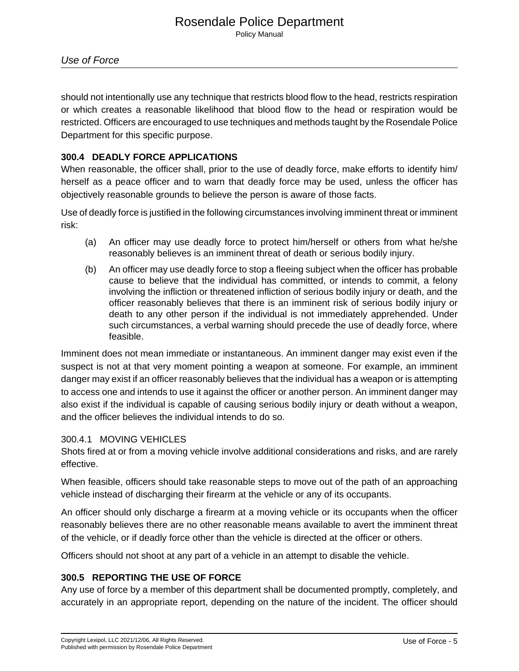should not intentionally use any technique that restricts blood flow to the head, restricts respiration or which creates a reasonable likelihood that blood flow to the head or respiration would be restricted. Officers are encouraged to use techniques and methods taught by the Rosendale Police Department for this specific purpose.

#### **300.4 DEADLY FORCE APPLICATIONS**

When reasonable, the officer shall, prior to the use of deadly force, make efforts to identify him/ herself as a peace officer and to warn that deadly force may be used, unless the officer has objectively reasonable grounds to believe the person is aware of those facts.

Use of deadly force is justified in the following circumstances involving imminent threat or imminent risk:

- (a) An officer may use deadly force to protect him/herself or others from what he/she reasonably believes is an imminent threat of death or serious bodily injury.
- (b) An officer may use deadly force to stop a fleeing subject when the officer has probable cause to believe that the individual has committed, or intends to commit, a felony involving the infliction or threatened infliction of serious bodily injury or death, and the officer reasonably believes that there is an imminent risk of serious bodily injury or death to any other person if the individual is not immediately apprehended. Under such circumstances, a verbal warning should precede the use of deadly force, where feasible.

Imminent does not mean immediate or instantaneous. An imminent danger may exist even if the suspect is not at that very moment pointing a weapon at someone. For example, an imminent danger may exist if an officer reasonably believes that the individual has a weapon or is attempting to access one and intends to use it against the officer or another person. An imminent danger may also exist if the individual is capable of causing serious bodily injury or death without a weapon, and the officer believes the individual intends to do so.

#### 300.4.1 MOVING VEHICLES

Shots fired at or from a moving vehicle involve additional considerations and risks, and are rarely effective.

When feasible, officers should take reasonable steps to move out of the path of an approaching vehicle instead of discharging their firearm at the vehicle or any of its occupants.

An officer should only discharge a firearm at a moving vehicle or its occupants when the officer reasonably believes there are no other reasonable means available to avert the imminent threat of the vehicle, or if deadly force other than the vehicle is directed at the officer or others.

Officers should not shoot at any part of a vehicle in an attempt to disable the vehicle.

# **300.5 REPORTING THE USE OF FORCE**

Any use of force by a member of this department shall be documented promptly, completely, and accurately in an appropriate report, depending on the nature of the incident. The officer should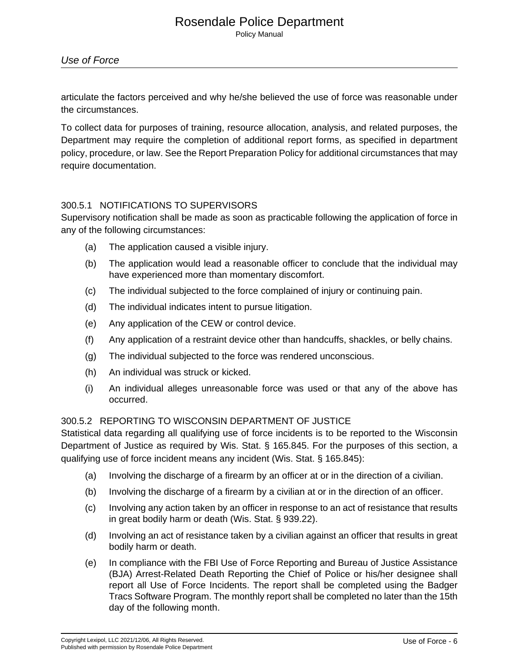Policy Manual

## Use of Force

articulate the factors perceived and why he/she believed the use of force was reasonable under the circumstances.

To collect data for purposes of training, resource allocation, analysis, and related purposes, the Department may require the completion of additional report forms, as specified in department policy, procedure, or law. See the Report Preparation Policy for additional circumstances that may require documentation.

#### 300.5.1 NOTIFICATIONS TO SUPERVISORS

Supervisory notification shall be made as soon as practicable following the application of force in any of the following circumstances:

- (a) The application caused a visible injury.
- (b) The application would lead a reasonable officer to conclude that the individual may have experienced more than momentary discomfort.
- (c) The individual subjected to the force complained of injury or continuing pain.
- (d) The individual indicates intent to pursue litigation.
- (e) Any application of the CEW or control device.
- (f) Any application of a restraint device other than handcuffs, shackles, or belly chains.
- (g) The individual subjected to the force was rendered unconscious.
- (h) An individual was struck or kicked.
- (i) An individual alleges unreasonable force was used or that any of the above has occurred.

#### 300.5.2 REPORTING TO WISCONSIN DEPARTMENT OF JUSTICE

Statistical data regarding all qualifying use of force incidents is to be reported to the Wisconsin Department of Justice as required by Wis. Stat. § 165.845. For the purposes of this section, a qualifying use of force incident means any incident (Wis. Stat. § 165.845):

- (a) Involving the discharge of a firearm by an officer at or in the direction of a civilian.
- (b) Involving the discharge of a firearm by a civilian at or in the direction of an officer.
- (c) Involving any action taken by an officer in response to an act of resistance that results in great bodily harm or death (Wis. Stat. § 939.22).
- (d) Involving an act of resistance taken by a civilian against an officer that results in great bodily harm or death.
- (e) In compliance with the FBI Use of Force Reporting and Bureau of Justice Assistance (BJA) Arrest-Related Death Reporting the Chief of Police or his/her designee shall report all Use of Force Incidents. The report shall be completed using the Badger Tracs Software Program. The monthly report shall be completed no later than the 15th day of the following month.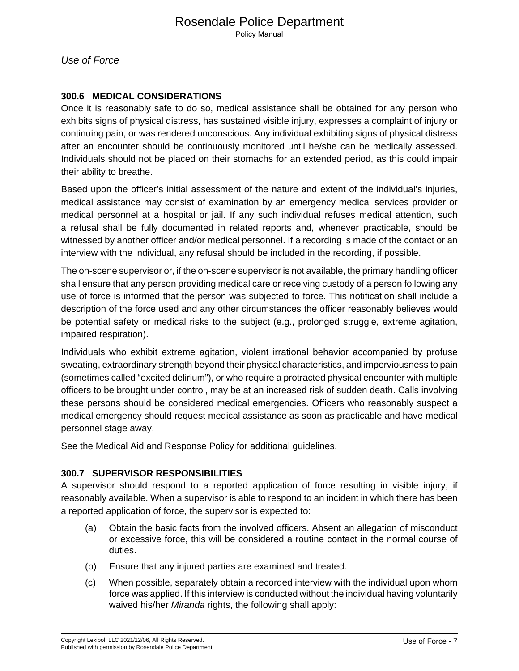#### **300.6 MEDICAL CONSIDERATIONS**

Once it is reasonably safe to do so, medical assistance shall be obtained for any person who exhibits signs of physical distress, has sustained visible injury, expresses a complaint of injury or continuing pain, or was rendered unconscious. Any individual exhibiting signs of physical distress after an encounter should be continuously monitored until he/she can be medically assessed. Individuals should not be placed on their stomachs for an extended period, as this could impair their ability to breathe.

Based upon the officer's initial assessment of the nature and extent of the individual's injuries, medical assistance may consist of examination by an emergency medical services provider or medical personnel at a hospital or jail. If any such individual refuses medical attention, such a refusal shall be fully documented in related reports and, whenever practicable, should be witnessed by another officer and/or medical personnel. If a recording is made of the contact or an interview with the individual, any refusal should be included in the recording, if possible.

The on-scene supervisor or, if the on-scene supervisor is not available, the primary handling officer shall ensure that any person providing medical care or receiving custody of a person following any use of force is informed that the person was subjected to force. This notification shall include a description of the force used and any other circumstances the officer reasonably believes would be potential safety or medical risks to the subject (e.g., prolonged struggle, extreme agitation, impaired respiration).

Individuals who exhibit extreme agitation, violent irrational behavior accompanied by profuse sweating, extraordinary strength beyond their physical characteristics, and imperviousness to pain (sometimes called "excited delirium"), or who require a protracted physical encounter with multiple officers to be brought under control, may be at an increased risk of sudden death. Calls involving these persons should be considered medical emergencies. Officers who reasonably suspect a medical emergency should request medical assistance as soon as practicable and have medical personnel stage away.

See the Medical Aid and Response Policy for additional guidelines.

#### **300.7 SUPERVISOR RESPONSIBILITIES**

A supervisor should respond to a reported application of force resulting in visible injury, if reasonably available. When a supervisor is able to respond to an incident in which there has been a reported application of force, the supervisor is expected to:

- (a) Obtain the basic facts from the involved officers. Absent an allegation of misconduct or excessive force, this will be considered a routine contact in the normal course of duties.
- (b) Ensure that any injured parties are examined and treated.
- (c) When possible, separately obtain a recorded interview with the individual upon whom force was applied. If this interview is conducted without the individual having voluntarily waived his/her Miranda rights, the following shall apply: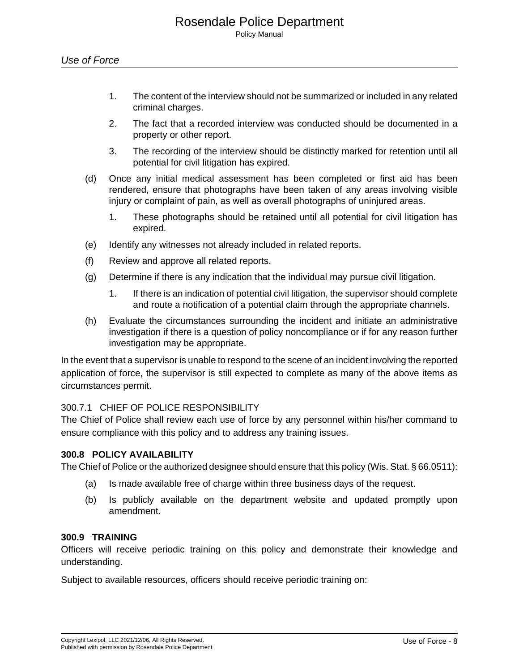- 1. The content of the interview should not be summarized or included in any related criminal charges.
- 2. The fact that a recorded interview was conducted should be documented in a property or other report.
- 3. The recording of the interview should be distinctly marked for retention until all potential for civil litigation has expired.
- (d) Once any initial medical assessment has been completed or first aid has been rendered, ensure that photographs have been taken of any areas involving visible injury or complaint of pain, as well as overall photographs of uninjured areas.
	- 1. These photographs should be retained until all potential for civil litigation has expired.
- (e) Identify any witnesses not already included in related reports.
- (f) Review and approve all related reports.
- (g) Determine if there is any indication that the individual may pursue civil litigation.
	- 1. If there is an indication of potential civil litigation, the supervisor should complete and route a notification of a potential claim through the appropriate channels.
- (h) Evaluate the circumstances surrounding the incident and initiate an administrative investigation if there is a question of policy noncompliance or if for any reason further investigation may be appropriate.

In the event that a supervisor is unable to respond to the scene of an incident involving the reported application of force, the supervisor is still expected to complete as many of the above items as circumstances permit.

#### 300.7.1 CHIEF OF POLICE RESPONSIBILITY

The Chief of Police shall review each use of force by any personnel within his/her command to ensure compliance with this policy and to address any training issues.

#### **300.8 POLICY AVAILABILITY**

The Chief of Police or the authorized designee should ensure that this policy (Wis. Stat. § 66.0511):

- (a) Is made available free of charge within three business days of the request.
- (b) Is publicly available on the department website and updated promptly upon amendment.

#### **300.9 TRAINING**

Officers will receive periodic training on this policy and demonstrate their knowledge and understanding.

Subject to available resources, officers should receive periodic training on: